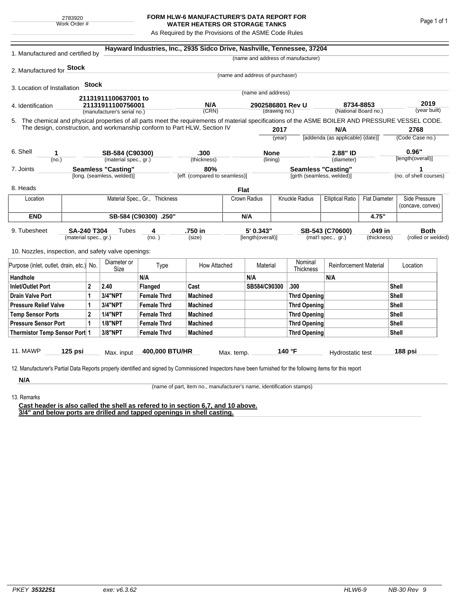## **FORM HLW-6 MANUFACTURER'S DATA REPORT FOR WATER HEATERS OR STORAGE TANKS**

As Required by the Provisions of the ASME Code Rules

| 1. Manufactured and certified by                                                                                                                              |                                                         |       |                             |                    | Hayward Industries, Inc., 2935 Sidco Drive, Nashville, Tennessee, 37204   |                                      |                                   |                     |                                                         |                                                  |             |                        |                                    |
|---------------------------------------------------------------------------------------------------------------------------------------------------------------|---------------------------------------------------------|-------|-----------------------------|--------------------|---------------------------------------------------------------------------|--------------------------------------|-----------------------------------|---------------------|---------------------------------------------------------|--------------------------------------------------|-------------|------------------------|------------------------------------|
|                                                                                                                                                               |                                                         |       |                             |                    |                                                                           |                                      |                                   |                     | (name and address of manufacturer)                      |                                                  |             |                        |                                    |
| 2. Manufactured for <b>Stock</b>                                                                                                                              |                                                         |       |                             |                    |                                                                           |                                      |                                   |                     |                                                         |                                                  |             |                        |                                    |
|                                                                                                                                                               |                                                         |       |                             |                    |                                                                           |                                      | (name and address of purchaser)   |                     |                                                         |                                                  |             |                        |                                    |
| 3. Location of Installation                                                                                                                                   |                                                         | Stock |                             |                    |                                                                           |                                      | (name and address)                |                     |                                                         |                                                  |             |                        |                                    |
|                                                                                                                                                               |                                                         |       | 21131911100637001 to        |                    |                                                                           |                                      |                                   |                     |                                                         |                                                  |             |                        |                                    |
| 4. Identification                                                                                                                                             |                                                         |       | 21131911100756001           |                    | N/A<br>(CRN)                                                              |                                      | 2902586801 Rev U<br>(drawing no.) |                     |                                                         | 8734-8853<br>(National Board no.)                |             | 2019<br>(year built)   |                                    |
|                                                                                                                                                               |                                                         |       | (manufacturer's serial no.) |                    |                                                                           |                                      |                                   |                     |                                                         |                                                  |             |                        |                                    |
| 5. The chemical and physical properties of all parts meet the requirements of material specifications of the ASME BOILER AND PRESSURE VESSEL CODE.            |                                                         |       |                             |                    | The design, construction, and workmanship conform to Part HLW, Section IV |                                      |                                   | 2017                |                                                         | N/A                                              |             |                        | 2768                               |
|                                                                                                                                                               |                                                         |       |                             |                    |                                                                           |                                      |                                   | (year)              |                                                         | [addenda (as applicable) (date)]                 |             | (Code Case no.)        |                                    |
|                                                                                                                                                               |                                                         |       |                             |                    |                                                                           |                                      |                                   |                     |                                                         |                                                  |             |                        |                                    |
| 6. Shell<br>1                                                                                                                                                 |                                                         |       | SB-584 (C90300)             |                    | .300                                                                      |                                      | <b>None</b>                       |                     | 2.88" ID                                                |                                                  | 0.96"       |                        |                                    |
| (no.)                                                                                                                                                         |                                                         |       | (material spec., gr.)       |                    | (thickness)                                                               |                                      |                                   | (lining)            |                                                         | (diameter)                                       |             |                        | [length(overall)]                  |
| 7. Joints                                                                                                                                                     | <b>Seamless "Casting"</b><br>[long. (seamless, welded)] |       |                             |                    |                                                                           | 80%<br>[eff. (compared to seamless)] |                                   |                     | <b>Seamless "Casting"</b><br>[girth (seamless, welded)] |                                                  |             | (no. of shell courses) |                                    |
|                                                                                                                                                               |                                                         |       |                             |                    |                                                                           |                                      |                                   |                     |                                                         |                                                  |             |                        |                                    |
| 8. Heads                                                                                                                                                      |                                                         |       |                             |                    |                                                                           | <b>Flat</b>                          |                                   |                     |                                                         |                                                  |             |                        |                                    |
| Location                                                                                                                                                      | Material Spec., Gr., Thickness                          |       |                             |                    |                                                                           |                                      | Crown Radius                      |                     | Knuckle Radius                                          | <b>Elliptical Ratio</b><br><b>Flat Diameter</b>  |             |                        | Side Pressure<br>(concave, convex) |
| <b>END</b>                                                                                                                                                    | SB-584 (C90300) .250"                                   |       |                             |                    |                                                                           |                                      | N/A                               |                     |                                                         |                                                  | 4.75"       |                        |                                    |
|                                                                                                                                                               |                                                         |       |                             |                    |                                                                           |                                      |                                   |                     |                                                         |                                                  |             |                        |                                    |
| 9. Tubesheet<br><b>SA-240 T304</b><br>(material spec., gr.)                                                                                                   |                                                         |       | Tubes                       | 4<br>(no. )        | .750 in                                                                   |                                      | 5' 0.343"<br>[length(overall)]    |                     |                                                         | .049 in<br>SB-543 (C70600)<br>(mat'l spec., gr.) |             |                        | <b>Both</b><br>(rolled or welded)  |
|                                                                                                                                                               |                                                         |       |                             |                    | (size)                                                                    |                                      |                                   |                     |                                                         |                                                  | (thickness) |                        |                                    |
| 10. Nozzles, inspection, and safety valve openings:                                                                                                           |                                                         |       |                             |                    |                                                                           |                                      |                                   |                     |                                                         |                                                  |             |                        |                                    |
|                                                                                                                                                               |                                                         |       | Diameter or                 |                    |                                                                           |                                      |                                   |                     | Nominal                                                 |                                                  |             |                        | Location                           |
| Purpose (inlet, outlet, drain, etc.) No.                                                                                                                      |                                                         |       | Size                        | Type               | How Attached                                                              |                                      | Material                          |                     | Thickness                                               | <b>Reinforcement Material</b>                    |             |                        |                                    |
| Handhole                                                                                                                                                      |                                                         |       |                             | N/A                |                                                                           |                                      | N/A                               |                     |                                                         | N/A                                              |             |                        |                                    |
| <b>Inlet/Outlet Port</b><br>2                                                                                                                                 |                                                         | 2.40  | Flanged                     | Cast               |                                                                           | SB584/C90300                         |                                   | .300                |                                                         |                                                  | Shell       |                        |                                    |
| <b>Drain Valve Port</b><br>1                                                                                                                                  |                                                         |       | 3/4"NPT                     | <b>Female Thrd</b> | <b>Machined</b>                                                           |                                      |                                   |                     | <b>Thrd Opening</b>                                     |                                                  | Shell       |                        |                                    |
| <b>Pressure Relief Valve</b><br>1                                                                                                                             |                                                         |       | 3/4"NPT                     | <b>Female Thrd</b> | <b>Machined</b>                                                           |                                      |                                   |                     | <b>Thrd Opening</b>                                     |                                                  |             | Shell                  |                                    |
| $\overline{2}$<br><b>Temp Sensor Ports</b>                                                                                                                    |                                                         |       | <b>1/4"NPT</b>              | <b>Female Thrd</b> | <b>Machined</b>                                                           |                                      |                                   | <b>Thrd Opening</b> |                                                         |                                                  |             | Shell                  |                                    |
| <b>Pressure Sensor Port</b><br>1                                                                                                                              |                                                         |       | <b>1/8"NPT</b>              | <b>Female Thrd</b> | <b>Machined</b>                                                           |                                      |                                   | <b>Thrd Opening</b> |                                                         |                                                  | Shell       |                        |                                    |
| Thermistor Temp Sensor Port 1                                                                                                                                 |                                                         |       | 3/8"NPT                     | <b>Female Thrd</b> | <b>Machined</b>                                                           |                                      |                                   |                     | Thrd Opening                                            |                                                  |             | Shell                  |                                    |
| 11. MAWP                                                                                                                                                      | $125$ psi                                               |       | Max. input                  | 400,000 BTU/HR     |                                                                           |                                      |                                   |                     | 140 °F                                                  | Hydrostatic test                                 |             |                        | 188 psi                            |
|                                                                                                                                                               |                                                         |       |                             |                    |                                                                           | Max. temp.                           |                                   |                     |                                                         |                                                  |             |                        |                                    |
| 12. Manufacturer's Partial Data Reports properly identified and signed by Commissioned Inspectors have been furnished for the following items for this report |                                                         |       |                             |                    |                                                                           |                                      |                                   |                     |                                                         |                                                  |             |                        |                                    |
|                                                                                                                                                               |                                                         |       |                             |                    |                                                                           |                                      |                                   |                     |                                                         |                                                  |             |                        |                                    |

(name of part, item no., manufacturer's name, identification stamps)

13. Remarks

**Cast header is also called the shell as refered to in section 6,7, and 10 above. 3/4" and below ports are drilled and tapped openings in shell casting.**